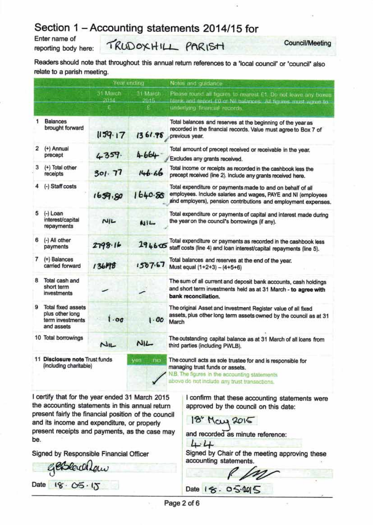## Section 1 - Accounting statements 2014/15 for

Enter name of reporting body here:

TRUDOXHILL PARISH Council/Meeting

Readers should note that throughout this annual return references to a 'local council' or 'council' also relate to a parish meeting.

|   |                                                                         | Year ending             |                        | Notes and guidance:                                                                                                                                                                             |  |  |  |  |  |
|---|-------------------------------------------------------------------------|-------------------------|------------------------|-------------------------------------------------------------------------------------------------------------------------------------------------------------------------------------------------|--|--|--|--|--|
|   |                                                                         | 31 March<br>2014.<br>£. | 31 March<br>2015<br>£. | Please round all figures to nearest £1. Do not leave any boxes<br>blank and report EQ or Nil balances. All figures must agree to<br>underlying financial reports.                               |  |  |  |  |  |
| 1 | <b>Balances</b><br>brought forward                                      | 1159.17                 | 1361.98                | Total balances and reserves at the beginning of the year as<br>recorded in the financial records. Value must agree to Box 7 of<br>previous year.                                                |  |  |  |  |  |
| 2 | (+) Annual<br>precept                                                   | 4359.                   | 4-664                  | Total amount of precept received or receivable in the year.<br>Excludes any grants received.                                                                                                    |  |  |  |  |  |
| з | (+) Total other<br>receipts                                             | 301.77                  | 146.66                 | Total income or receipts as recorded in the cashbook less the<br>precept received (line 2). Include any grants received here.                                                                   |  |  |  |  |  |
|   | (-) Staff costs                                                         | 1659.80                 | 1640.88                | Total expenditure or payments made to and on behalf of all<br>employees. Include salaries and wages, PAYE and NI (employees<br>and employers), pension contributions and employment expenses.   |  |  |  |  |  |
| 5 | $(-)$ Loan<br>interest/capital<br>repayments                            | N/L                     | NIL                    | Total expenditure or payments of capital and interest made during<br>the year on the council's borrowings (if any).                                                                             |  |  |  |  |  |
| 6 | (-) All other<br>payments                                               | 2798.16                 | 294605                 | Total expenditure or payments as recorded in the cashbook less<br>staff costs (line 4) and loan interest/capital repayments (line 5).                                                           |  |  |  |  |  |
| 7 | $(=)$ Balances<br>carried forward                                       | 136198                  | 1557.67                | Total balances and reserves at the end of the year.<br>Must equal (1+2+3) - (4+5+6)                                                                                                             |  |  |  |  |  |
| 8 | Total cash and<br>short term<br>investments                             |                         |                        | The sum of all current and deposit bank accounts, cash holdings<br>and short term investments held as at 31 March - to agree with<br>bank reconciliation.                                       |  |  |  |  |  |
| 9 | Total fixed assets<br>plus other long<br>term investments<br>and assets | $1 - \alpha$            | 1.00                   | The original Asset and Investment Register value of all fixed<br>assets, plus other long term assets owned by the council as at 31<br>March                                                     |  |  |  |  |  |
|   | 10 Total borrowings                                                     | $M_{IL}$                | NIL                    | The outstanding capital balance as at 31 March of all loans from<br>third parties (including PWLB).                                                                                             |  |  |  |  |  |
|   | 11 Disclosure note Trust funds<br>(including charitable)                |                         | Ves<br>тиз             | The council acts as sole trustee for and is responsible for<br>managing trust funds or assets.<br>N.B. The figures in the accounting statements<br>above do not include any trust transactions. |  |  |  |  |  |

I certify that for the year ended 31 March 2015 the accounting statements in this annual return present fairly the financial position of the council and its income and expenditure, or properly present receipts and payments, as the case may be.

Signed by Responsible Financial Officer

gesleuch La  $\frac{18.05.15}{16.05.065}$ 

I confirm that these accounting statements were approved by the council on this date:

18" May 2015 J

and recoded as minute reference:

 $44$ 

Signed by Chair of the meeting approving these accounting statements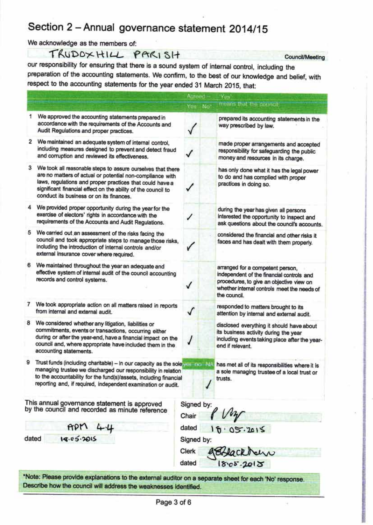## Section 2 - Annual governance statement 2014/15

We acknowledge as the members of:

TRUDOXHILL PARISH

our responsibility for ensuring that there is a sound system of internal control, including the preparation of the accounting statements. We confirm, to the best of our knowledge and belief, with respect to the accounting statements for the year ended 31 March 2015, that:

Council/Meeting

|                                                                                                                                                                                                                                                                                                         |                                                                                                                                                                                                                                                                                       | Agreed -   |                 | Yes                                                                                                                                                                                      |  |  |
|---------------------------------------------------------------------------------------------------------------------------------------------------------------------------------------------------------------------------------------------------------------------------------------------------------|---------------------------------------------------------------------------------------------------------------------------------------------------------------------------------------------------------------------------------------------------------------------------------------|------------|-----------------|------------------------------------------------------------------------------------------------------------------------------------------------------------------------------------------|--|--|
|                                                                                                                                                                                                                                                                                                         |                                                                                                                                                                                                                                                                                       | Yes:       | No <sup>*</sup> | means that the douncil                                                                                                                                                                   |  |  |
| 1                                                                                                                                                                                                                                                                                                       | We approved the accounting statements prepared in<br>accordance with the requirements of the Accounts and<br>Audit Regulations and proper practices.                                                                                                                                  |            |                 | prepared its accounting statements in the<br>way prescribed by law.                                                                                                                      |  |  |
| 2                                                                                                                                                                                                                                                                                                       | We maintained an adequate system of internal control,<br>including measures designed to prevent and detect fraud<br>and corruption and reviewed its effectiveness.                                                                                                                    |            |                 | made proper arrangements and accepted<br>responsibility for safeguarding the public<br>money and resources in its charge.                                                                |  |  |
| З.<br>We took all reasonable steps to assure ourselves that there<br>are no matters of actual or potential non-compliance with<br>laws, regulations and proper practices that could have a<br>significant financial effect on the ability of the council to<br>conduct its business or on its finances. |                                                                                                                                                                                                                                                                                       |            |                 | has only done what it has the legal power<br>to do and has complied with proper<br>practices in doing so.                                                                                |  |  |
| 4                                                                                                                                                                                                                                                                                                       | We provided proper opportunity during the year for the<br>exercise of electors' rights in accordance with the<br>requirements of the Accounts and Audit Regulations.                                                                                                                  |            |                 | during the year has given all persons<br>interested the opportunity to inspect and<br>ask questions about the council's accounts.                                                        |  |  |
| 5                                                                                                                                                                                                                                                                                                       | We carried out an assessment of the risks facing the<br>council and took appropriate steps to manage those risks,<br>including the introduction of internal controls and/or<br>external insurance cover where required.                                                               |            |                 | considered the financial and other risks it<br>faces and has dealt with them properly.                                                                                                   |  |  |
| 6                                                                                                                                                                                                                                                                                                       | We maintained throughout the year an adequate and<br>effective system of internal audit of the council accounting<br>records and control systems.                                                                                                                                     |            |                 | arranged for a competent person,<br>independent of the financial controls and<br>procedures, to give an objective view on<br>whether internal controls meet the needs of<br>the council. |  |  |
| 7                                                                                                                                                                                                                                                                                                       | We took appropriate action on all matters raised in reports<br>from internal and external audit.                                                                                                                                                                                      |            |                 | responded to matters brought to its<br>attention by internal and external audit.                                                                                                         |  |  |
| 8                                                                                                                                                                                                                                                                                                       | We considered whether any litigation, liabilities or<br>commitments, events or transactions, occurring either<br>during or after the year-end, have a financial impact on the<br>council and, where appropriate have included them in the<br>accounting statements.                   |            |                 | disclosed everything it should have about<br>its business activity during the year<br>including events taking place after the year-<br>end if relevant.                                  |  |  |
| 9                                                                                                                                                                                                                                                                                                       | Trust funds (including charitable) - in our capacity as the sole year not that<br>managing trustee we discharged our responsibility in relation<br>to the accountability for the fund(s)/assets, including financial<br>reporting and, if required, independent examination or audit. |            |                 | has met all of its responsibilities where it is<br>a sole managing trustee of a local trust or<br>trusts.                                                                                |  |  |
| This annual governance statement is approved<br>by the council and recorded as minute reference<br>Chair                                                                                                                                                                                                |                                                                                                                                                                                                                                                                                       |            | Signed by:      | Vir                                                                                                                                                                                      |  |  |
|                                                                                                                                                                                                                                                                                                         | APM<br>44                                                                                                                                                                                                                                                                             | dated      |                 | 16.05.2015                                                                                                                                                                               |  |  |
|                                                                                                                                                                                                                                                                                                         | 18.05.2015<br>dated                                                                                                                                                                                                                                                                   | Signed by: |                 |                                                                                                                                                                                          |  |  |
|                                                                                                                                                                                                                                                                                                         |                                                                                                                                                                                                                                                                                       | Clerk      |                 | eckbarr                                                                                                                                                                                  |  |  |
|                                                                                                                                                                                                                                                                                                         |                                                                                                                                                                                                                                                                                       | dated      |                 | 18.05.2015                                                                                                                                                                               |  |  |